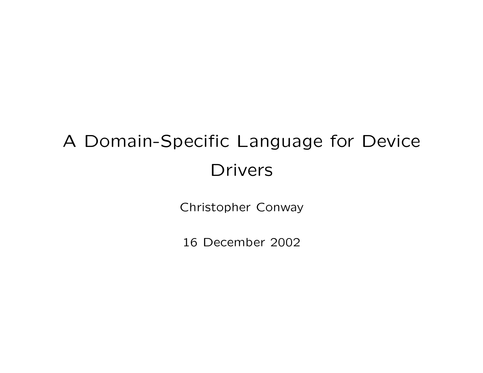# A Domain-Specific Language for Device Drivers

Christopher Conway

16 December 2002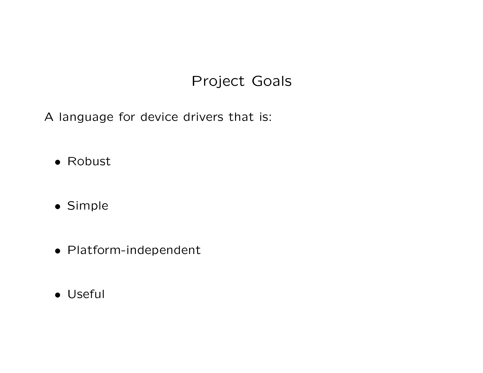# Project Goals

A language for device drivers that is:

- Robust
- Simple
- Platform-independent
- Useful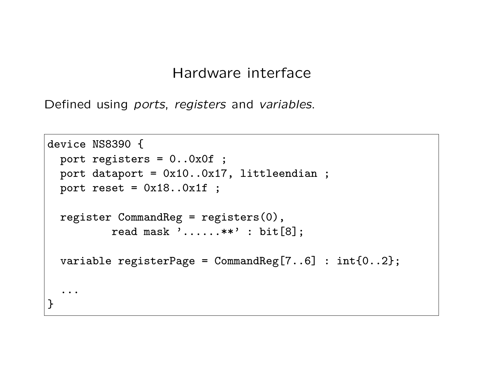#### Hardware interface

Defined using ports, registers and variables.

```
device NS8390 {
 port registers = 0..0x0f ;
 port dataport = 0x10..0x17, littleendian ;
 port reset = 0x18..0x1f ;
  register CommandReg = registers(0),
          read mask '......**' : bit[8];
  variable registerPage = CommandReg[7..6] : int{0..2};
  ...
}
```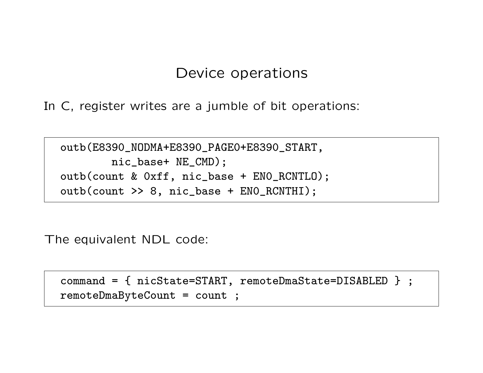#### Device operations

In C, register writes are a jumble of bit operations:

outb(E8390\_NODMA+E8390\_PAGE0+E8390\_START, nic\_base+ NE\_CMD); outb(count & 0xff, nic\_base + EN0\_RCNTLO); outb(count >> 8, nic\_base + EN0\_RCNTHI);

The equivalent NDL code:

```
command = { nicState=START, remoteDmaState=DISABLED } ;
remoteDmaByteCount = count ;
```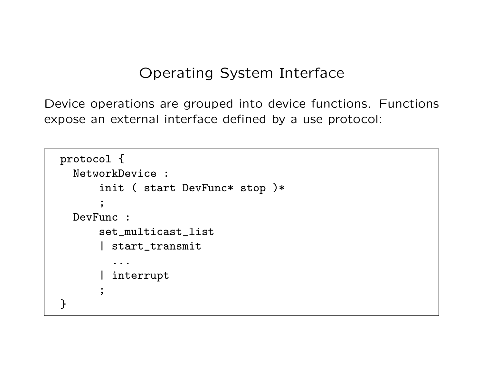### Operating System Interface

Device operations are grouped into device functions. Functions expose an external interface defined by a use protocol:

```
protocol {
  NetworkDevice :
      init ( start DevFunc* stop )*
      ;
  DevFunc :
      set_multicast_list
      | start_transmit
         ...
      | interrupt
      ;
}
```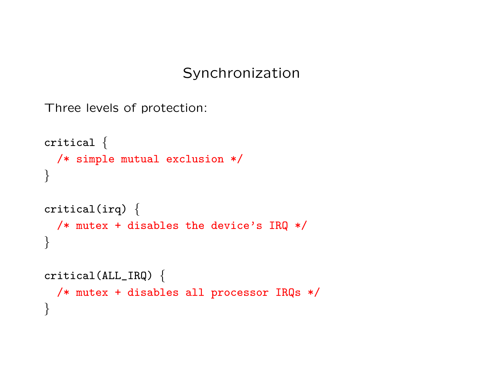### Synchronization

```
Three levels of protection:
```

```
critical {
 /* simple mutual exclusion */
}
critical(irq) {
 /* mutex + disables the device's IRQ */
}
critical(ALL_IRQ) {
 /* mutex + disables all processor IRQs */
}
```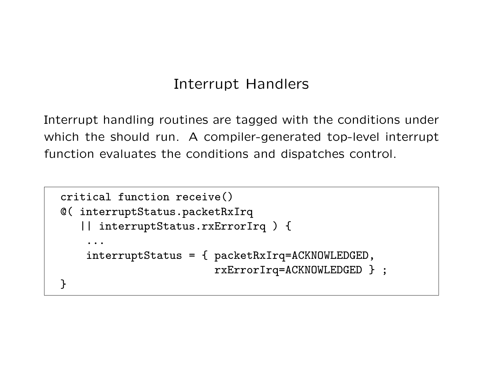# Interrupt Handlers

Interrupt handling routines are tagged with the conditions under which the should run. A compiler-generated top-level interrupt function evaluates the conditions and dispatches control.

```
critical function receive()
@( interruptStatus.packetRxIrq
   || interruptStatus.rxErrorIrq ) {
    ...
    interruptStatus = { packetRxIrq=ACKNOWLEDGED,
                        rxErrorIrq=ACKNOWLEDGED } ;
}
```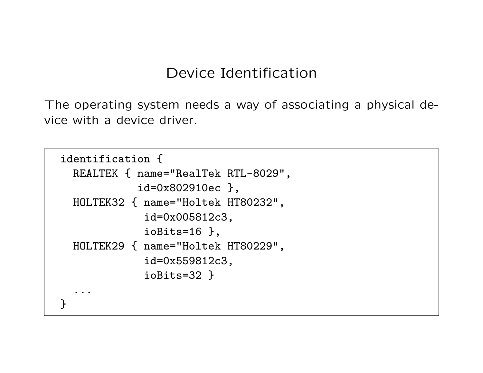#### Device Identification

The operating system needs a way of associating a physical device with a device driver.

```
identification {
 REALTEK { name="RealTek RTL-8029",
            id=0x802910ec },
 HOLTEK32 { name="Holtek HT80232",
             id=0x005812c3,
             ioBits=16 },
 HOLTEK29 { name="Holtek HT80229",
             id=0x559812c3,
             ioBits=32 }
  ...
}
```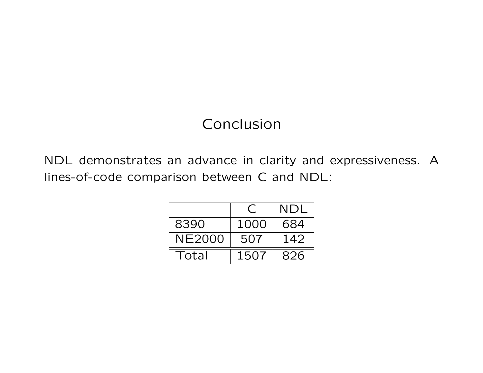# Conclusion

NDL demonstrates an advance in clarity and expressiveness. A lines-of-code comparison between C and NDL:

|        |      | NDL |
|--------|------|-----|
| 8390   | 1000 | 684 |
| NE2000 | 507  | 142 |
| Total  | 1507 | 826 |